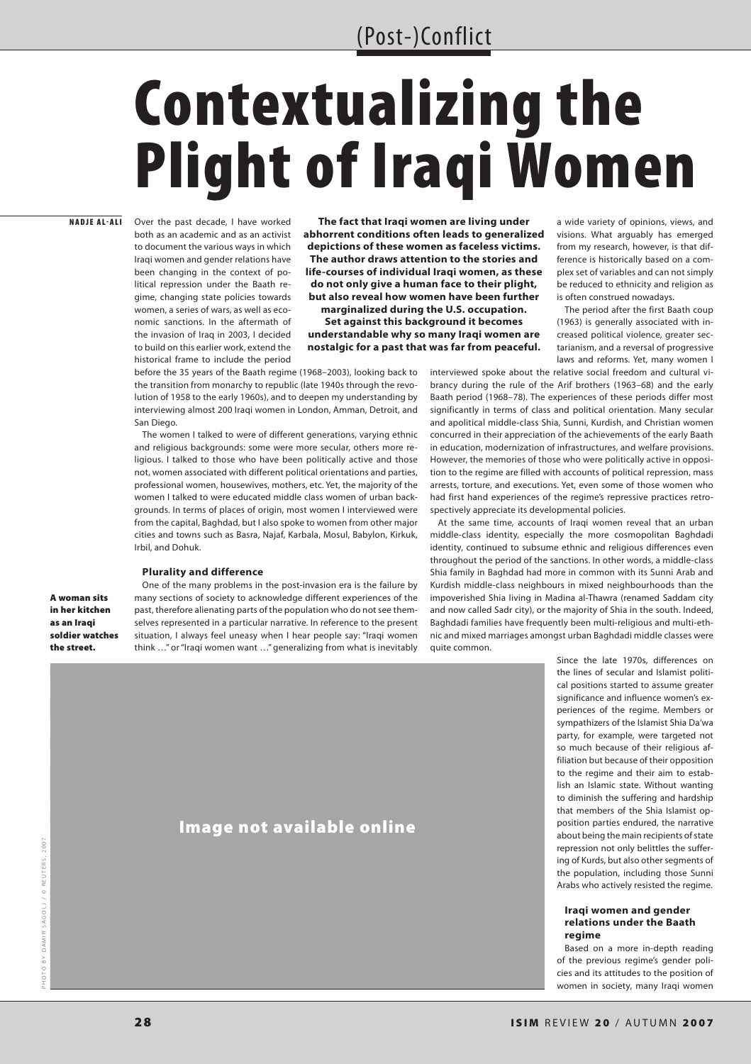# (Post-)Conflict

# Contextualizing the Plight of Iraqi Women

## NADJE AL-ALI

Over the past decade, I have worked both as an academic and as an activist to document the various ways in which Iraqi women and gender relations have been changing in the context of political repression under the Baath regime, changing state policies towards women, a series of wars, as well as economic sanctions. In the aftermath of the invasion of Iraq in 2003, I decided to build on this earlier work, extend the historical frame to include the period

**The fact that Iraqi women are living under abhorrent conditions often leads to generalized depictions of these women as faceless victims. The author draws attention to the stories and life-courses of individual Iraqi women, as these do not only give a human face to their plight, but also reveal how women have been further** 

**marginalized during the U.S. occupation. Set against this background it becomes understandable why so many Iraqi women are nostalgic for a past that was far from peaceful.**

before the 35 years of the Baath regime (1968–2003), looking back to the transition from monarchy to republic (late 1940s through the revolution of 1958 to the early 1960s), and to deepen my understanding by interviewing almost 200 Iraqi women in London, Amman, Detroit, and San Diego.

The women I talked to were of different generations, varying ethnic and religious backgrounds: some were more secular, others more religious. I talked to those who have been politically active and those not, women associated with different political orientations and parties, professional women, housewives, mothers, etc. Yet, the majority of the women I talked to were educated middle class women of urban backgrounds. In terms of places of origin, most women I interviewed were from the capital, Baghdad, but I also spoke to women from other major cities and towns such as Basra, Najaf, Karbala, Mosul, Babylon, Kirkuk, Irbil, and Dohuk.

## **Plurality and difference**

A woman sits in her kitchen as an Iraqi soldier watches the street.

One of the many problems in the post-invasion era is the failure by many sections of society to acknowledge different experiences of the past, therefore alienating parts of the population who do not see themselves represented in a particular narrative. In reference to the present situation, I always feel uneasy when I hear people say: "Iraqi women think …" or "Iraqi women want …" generalizing from what is inevitably

a wide variety of opinions, views, and visions. What arguably has emerged from my research, however, is that difference is historically based on a complex set of variables and can not simply be reduced to ethnicity and religion as is often construed nowadays.

The period after the first Baath coup (1963) is generally associated with increased political violence, greater sectarianism, and a reversal of progressive laws and reforms. Yet, many women I

interviewed spoke about the relative social freedom and cultural vibrancy during the rule of the Arif brothers (1963–68) and the early Baath period (1968–78). The experiences of these periods differ most significantly in terms of class and political orientation. Many secular and apolitical middle-class Shia, Sunni, Kurdish, and Christian women concurred in their appreciation of the achievements of the early Baath in education, modernization of infrastructures, and welfare provisions. However, the memories of those who were politically active in opposition to the regime are filled with accounts of political repression, mass arrests, torture, and executions. Yet, even some of those women who had first hand experiences of the regime's repressive practices retrospectively appreciate its developmental policies.

At the same time, accounts of Iraqi women reveal that an urban middle-class identity, especially the more cosmopolitan Baghdadi identity, continued to subsume ethnic and religious differences even throughout the period of the sanctions. In other words, a middle-class Shia family in Baghdad had more in common with its Sunni Arab and Kurdish middle-class neighbours in mixed neighbourhoods than the impoverished Shia living in Madina al-Thawra (renamed Saddam city and now called Sadr city), or the majority of Shia in the south. Indeed, Baghdadi families have frequently been multi-religious and multi-ethnic and mixed marriages amongst urban Baghdadi middle classes were quite common.

Since the late 1970s, differences on the lines of secular and Islamist political positions started to assume greater significance and influence women's experiences of the regime. Members or sympathizers of the Islamist Shia Da'wa party, for example, were targeted not so much because of their religious affiliation but because of their opposition to the regime and their aim to establish an Islamic state. Without wanting to diminish the suffering and hardship that members of the Shia Islamist opposition parties endured, the narrative about being the main recipients of state repression not only belittles the suffering of Kurds, but also other segments of the population, including those Sunni Arabs who actively resisted the regime.

## **Iraqi women and gender relations under the Baath regime**

Based on a more in-depth reading of the previous regime's gender policies and its attitudes to the position of women in society, many Iraqi women

## Image not available online